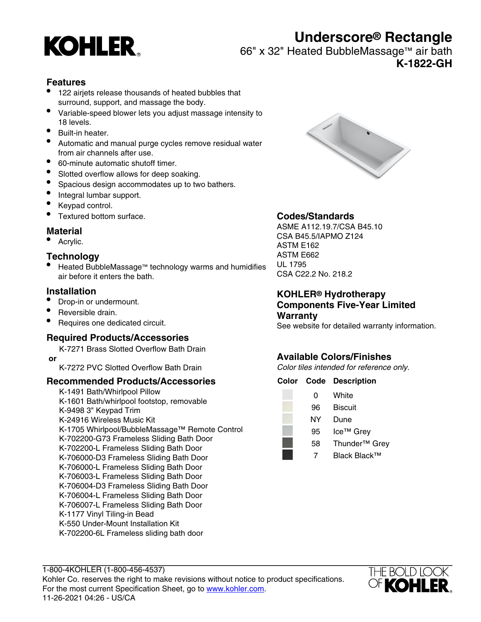

# **Underscore® Rectangle**

66" x 32" Heated BubbleMassage™ air bath

**K-1822-GH**

#### **Features**

- 122 airjets release thousands of heated bubbles that surround, support, and massage the body.
- Variable-speed blower lets you adjust massage intensity to 18 levels.
- Built-in heater.
- Automatic and manual purge cycles remove residual water from air channels after use.
- 60-minute automatic shutoff timer.
- Slotted overflow allows for deep soaking.
- Spacious design accommodates up to two bathers.
- Integral lumbar support.
- Keypad control.
- Textured bottom surface.

#### **Material**

• Acrylic.

#### **Technology**

• Heated BubbleMassage™ technology warms and humidifies air before it enters the bath.

#### **Installation**

- Drop-in or undermount.
- Reversible drain.
- Requires one dedicated circuit.

#### **Required Products/Accessories**

K-7271 Brass Slotted Overflow Bath Drain  **or**

K-7272 PVC Slotted Overflow Bath Drain

#### **Recommended Products/Accessories**

K-1491 Bath/Whirlpool Pillow K-1601 Bath/whirlpool footstop, removable K-9498 3" Keypad Trim K-24916 Wireless Music Kit K-1705 Whirlpool/BubbleMassage™ Remote Control K-702200-G73 Frameless Sliding Bath Door K-702200-L Frameless Sliding Bath Door K-706000-D3 Frameless Sliding Bath Door K-706000-L Frameless Sliding Bath Door K-706003-L Frameless Sliding Bath Door K-706004-D3 Frameless Sliding Bath Door K-706004-L Frameless Sliding Bath Door K-706007-L Frameless Sliding Bath Door K-1177 Vinyl Tiling-in Bead K-550 Under-Mount Installation Kit K-702200-6L Frameless sliding bath door



### **Codes/Standards**

ASME A112.19.7/CSA B45.10 CSA B45.5/IAPMO Z124 ASTM E162 ASTM E662 UL 1795 CSA C22.2 No. 218.2

#### **KOHLER® Hydrotherapy Components Five-Year Limited Warranty**

See website for detailed warranty information.

Grey

### **Available Colors/Finishes**

Color tiles intended for reference only.

| Color Code | <b>Description</b>       |
|------------|--------------------------|
| 0          | White                    |
| 96         | <b>Biscuit</b>           |
| ΝY         | Dune                     |
| 95         | Ice <sup>™</sup> Grey    |
| 58         | Thunder <sup>™</sup> Gro |
|            | Black Black™             |